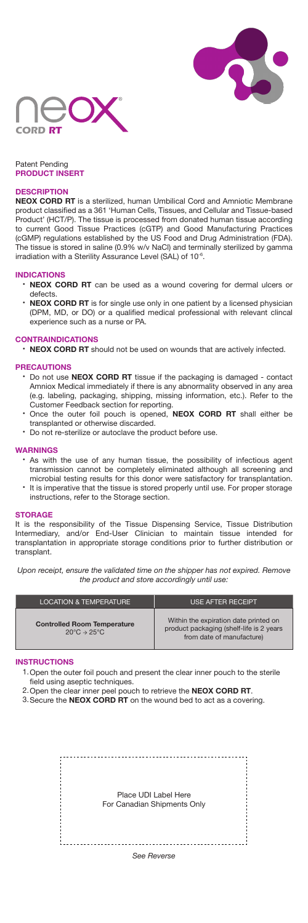



# Patent Pending **PRODUCT INSERT**

# **DESCRIPTION**

**NEOX CORD RT** is a sterilized, human Umbilical Cord and Amniotic Membrane product classified as a 361 'Human Cells, Tissues, and Cellular and Tissue-based Product' (HCT/P). The tissue is processed from donated human tissue according to current Good Tissue Practices (cGTP) and Good Manufacturing Practices (cGMP) regulations established by the US Food and Drug Administration (FDA). The tissue is stored in saline (0.9% w/v NaCl) and terminally sterilized by gamma irradiation with a Sterility Assurance Level (SAL) of 10<sup>-6</sup>.

## **INDICATIONS**

- **NEOX CORD RT** can be used as a wound covering for dermal ulcers or defects.
- **NEOX CORD RT** is for single use only in one patient by a licensed physician (DPM, MD, or DO) or a qualified medical professional with relevant clincal experience such as a nurse or PA.

## **CONTRAINDICATIONS**

• **NEOX CORD RT** should not be used on wounds that are actively infected.

### **PRECAUTIONS**

- Do not use **NEOX CORD RT** tissue if the packaging is damaged contact Amniox Medical immediately if there is any abnormality observed in any area (e.g. labeling, packaging, shipping, missing information, etc.). Refer to the Customer Feedback section for reporting.
- Once the outer foil pouch is opened, **NEOX CORD RT** shall either be transplanted or otherwise discarded.
- Do not re-sterilize or autoclave the product before use.

#### **WARNINGS**

- As with the use of any human tissue, the possibility of infectious agent transmission cannot be completely eliminated although all screening and microbial testing results for this donor were satisfactory for transplantation.
- It is imperative that the tissue is stored properly until use. For proper storage instructions, refer to the Storage section.

#### **STORAGE**

It is the responsibility of the Tissue Dispensing Service, Tissue Distribution Intermediary, and/or End-User Clinician to maintain tissue intended for transplantation in appropriate storage conditions prior to further distribution or transplant.

*Upon receipt, ensure the validated time on the shipper has not expired. Remove the product and store accordingly until use:*

| LOCATION & TEMPERATURE                                                             | <b>USE AFTER RECEIPT</b>                                                                                        |
|------------------------------------------------------------------------------------|-----------------------------------------------------------------------------------------------------------------|
| <b>Controlled Room Temperature</b><br>$20^{\circ}$ C $\rightarrow$ 25 $^{\circ}$ C | Within the expiration date printed on<br>product packaging (shelf-life is 2 years)<br>from date of manufacture) |

### **INSTRUCTIONS**

- 1. Open the outer foil pouch and present the clear inner pouch to the sterile
- field using aseptic techniques.
- 2. Open the clear inner peel pouch to retrieve the **NEOX CORD RT**.
- 3. Secure the NEOX CORD RT on the wound bed to act as a covering.

| Place UDI Label Here<br>For Canadian Shipments Only |  |
|-----------------------------------------------------|--|
| See Reverse                                         |  |